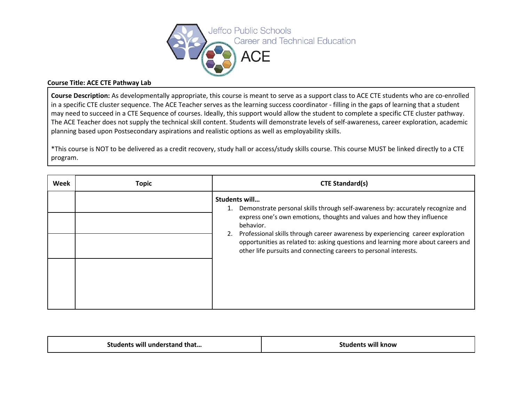

## **Course Title: ACE CTE Pathway Lab**

**Course Description:** As developmentally appropriate, this course is meant to serve as a support class to ACE CTE students who are co-enrolled in a specific CTE cluster sequence. The ACE Teacher serves as the learning success coordinator - filling in the gaps of learning that a student may need to succeed in a CTE Sequence of courses. Ideally, this support would allow the student to complete a specific CTE cluster pathway. The ACE Teacher does not supply the technical skill content. Students will demonstrate levels of self-awareness, career exploration, academic planning based upon Postsecondary aspirations and realistic options as well as employability skills.

\*This course is NOT to be delivered as a credit recovery, study hall or access/study skills course. This course MUST be linked directly to a CTE program.

| Week | <b>Topic</b> | <b>CTE Standard(s)</b>                                                                                                                                                                                                                                                                                                                                                                                                                        |
|------|--------------|-----------------------------------------------------------------------------------------------------------------------------------------------------------------------------------------------------------------------------------------------------------------------------------------------------------------------------------------------------------------------------------------------------------------------------------------------|
|      |              | Students will<br>1. Demonstrate personal skills through self-awareness by: accurately recognize and<br>express one's own emotions, thoughts and values and how they influence<br>behavior.<br>Professional skills through career awareness by experiencing career exploration<br>2.<br>opportunities as related to: asking questions and learning more about careers and<br>other life pursuits and connecting careers to personal interests. |

| Students will understand that | <b>Students will know</b> |
|-------------------------------|---------------------------|
|-------------------------------|---------------------------|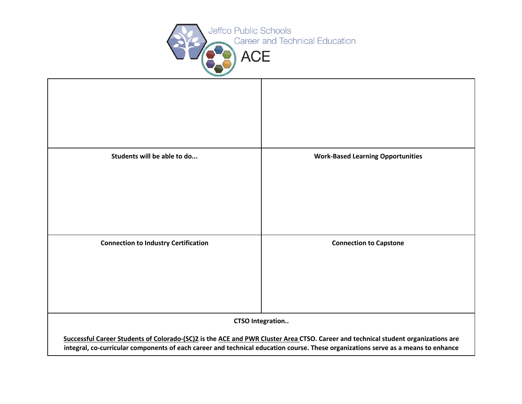

| Students will be able to do                                                                                                                                                                                                                                                                       | <b>Work-Based Learning Opportunities</b> |  |  |  |
|---------------------------------------------------------------------------------------------------------------------------------------------------------------------------------------------------------------------------------------------------------------------------------------------------|------------------------------------------|--|--|--|
| <b>Connection to Industry Certification</b>                                                                                                                                                                                                                                                       | <b>Connection to Capstone</b>            |  |  |  |
| <b>CTSO Integration</b><br>Successful Career Students of Colorado-(SC)2 is the ACE and PWR Cluster Area CTSO. Career and technical student organizations are<br>integral, co-curricular components of each career and technical education course. These organizations serve as a means to enhance |                                          |  |  |  |